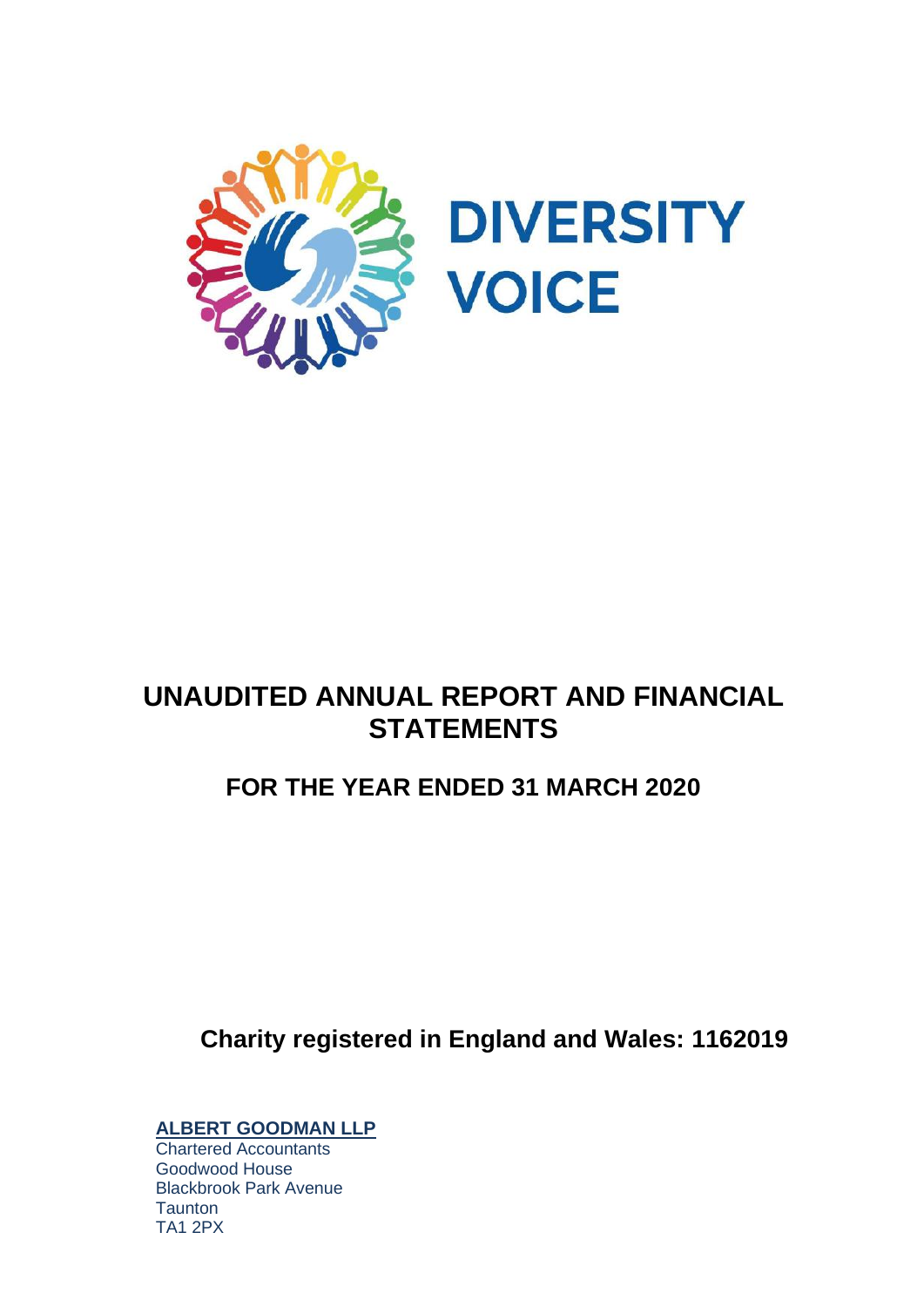

# **UNAUDITED ANNUAL REPORT AND FINANCIAL STATEMENTS**

# **FOR THE YEAR ENDED 31 MARCH 2020**

 **Charity registered in England and Wales: 1162019**

**ALBERT GOODMAN LLP**

Chartered Accountants Goodwood House Blackbrook Park Avenue **Taunton** TA1 2PX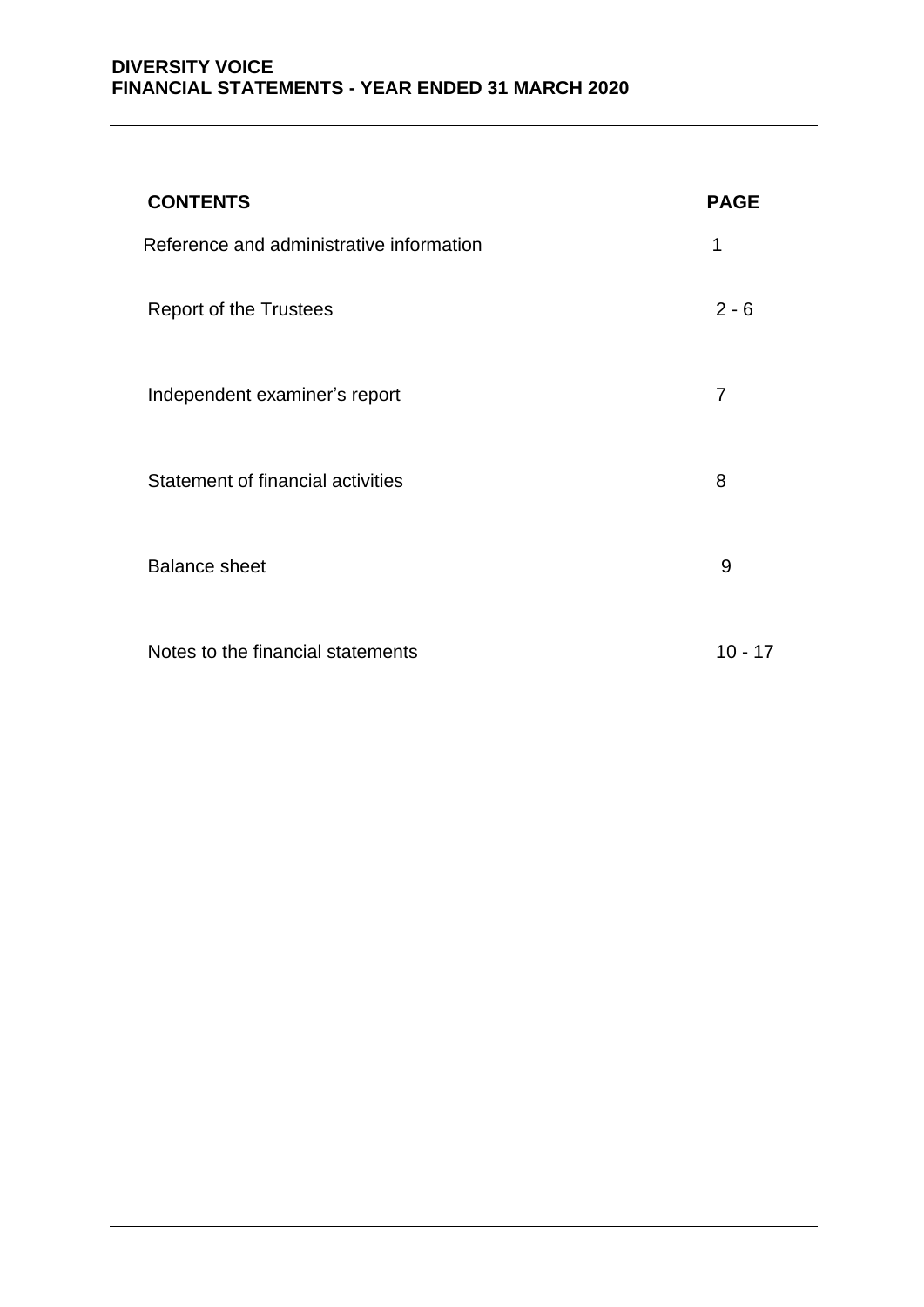# **DIVERSITY VOICE FINANCIAL STATEMENTS - YEAR ENDED 31 MARCH 2020**

| <b>CONTENTS</b>                          | <b>PAGE</b> |
|------------------------------------------|-------------|
| Reference and administrative information | 1           |
| <b>Report of the Trustees</b>            | $2 - 6$     |
| Independent examiner's report            | 7           |
| Statement of financial activities        | 8           |
| <b>Balance sheet</b>                     | 9           |
| Notes to the financial statements        | $10 - 17$   |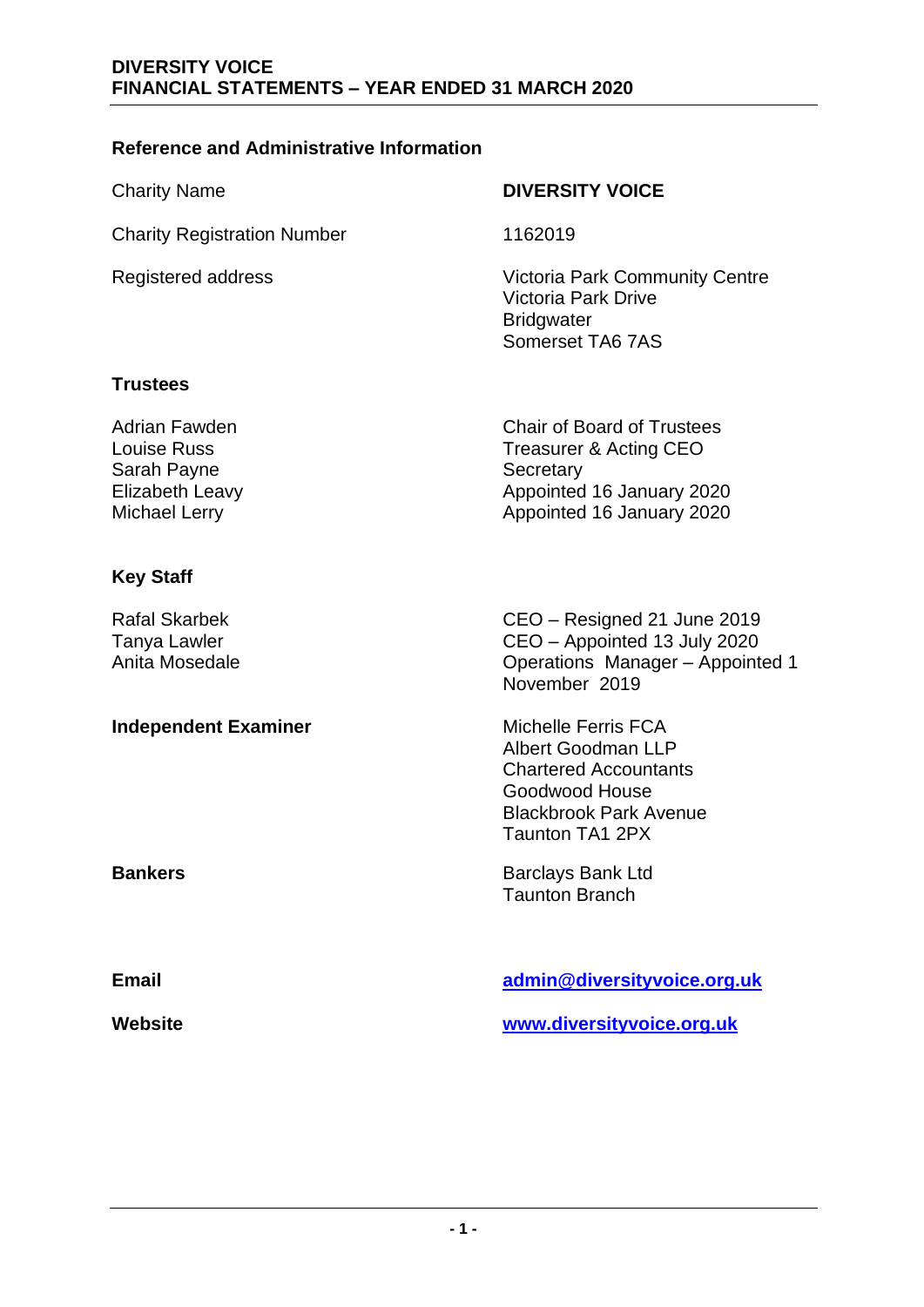# **Reference and Administrative Information**

Charity Registration Number 1162019

#### **Charity Name DIVERSITY VOICE**

Registered address Victoria Park Community Centre Victoria Park Drive **Bridgwater** Somerset TA6 7AS

# **Trustees**

| Adrian Fawden   | <b>Chair of Board of Trustees</b> |
|-----------------|-----------------------------------|
| Louise Russ     | Treasurer & Acting CEO            |
| Sarah Payne     | Secretary                         |
| Elizabeth Leavy | Appointed 16 January 2020         |
| Michael Lerry   | Appointed 16 January 2020         |

# **Key Staff**

#### **Independent Examiner** Michelle Ferris FCA

Rafal Skarbek CEO – Resigned 21 June 2019 Tanya Lawler CEO – Appointed 13 July 2020

Anita Mosedale **Contract Contract Contract Contract Contract Contract Contract Contract Contract Contract Contract Contract Operations Manager – Appointed 1** November 2019

> Albert Goodman LLP Chartered Accountants Goodwood House Blackbrook Park Avenue Taunton TA1 2PX

**Bankers** Bankers **Bankers** Bank Ltd Taunton Branch

| Email   | admin@diversityvoice.org.uk |
|---------|-----------------------------|
| Website | www.diversityvoice.org.uk   |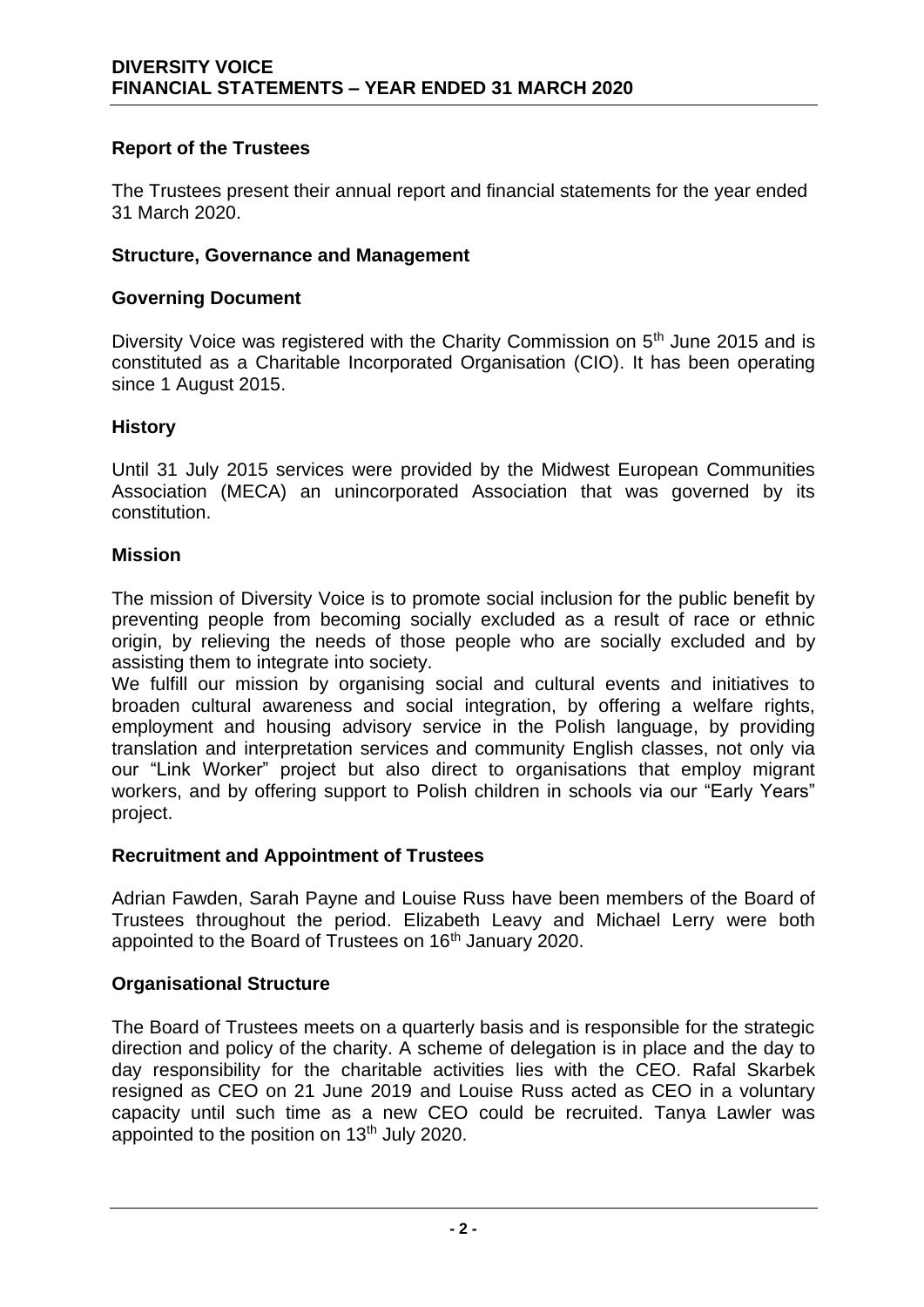# **Report of the Trustees**

The Trustees present their annual report and financial statements for the year ended 31 March 2020.

# **Structure, Governance and Management**

#### **Governing Document**

Diversity Voice was registered with the Charity Commission on 5<sup>th</sup> June 2015 and is constituted as a Charitable Incorporated Organisation (CIO). It has been operating since 1 August 2015.

#### **History**

Until 31 July 2015 services were provided by the Midwest European Communities Association (MECA) an unincorporated Association that was governed by its constitution.

#### **Mission**

The mission of Diversity Voice is to promote social inclusion for the public benefit by preventing people from becoming socially excluded as a result of race or ethnic origin, by relieving the needs of those people who are socially excluded and by assisting them to integrate into society.

We fulfill our mission by organising social and cultural events and initiatives to broaden cultural awareness and social integration, by offering a welfare rights, employment and housing advisory service in the Polish language, by providing translation and interpretation services and community English classes, not only via our "Link Worker" project but also direct to organisations that employ migrant workers, and by offering support to Polish children in schools via our "Early Years" project.

# **Recruitment and Appointment of Trustees**

Adrian Fawden, Sarah Payne and Louise Russ have been members of the Board of Trustees throughout the period. Elizabeth Leavy and Michael Lerry were both appointed to the Board of Trustees on 16<sup>th</sup> January 2020.

# **Organisational Structure**

The Board of Trustees meets on a quarterly basis and is responsible for the strategic direction and policy of the charity. A scheme of delegation is in place and the day to day responsibility for the charitable activities lies with the CEO. Rafal Skarbek resigned as CEO on 21 June 2019 and Louise Russ acted as CEO in a voluntary capacity until such time as a new CEO could be recruited. Tanya Lawler was appointed to the position on 13th July 2020.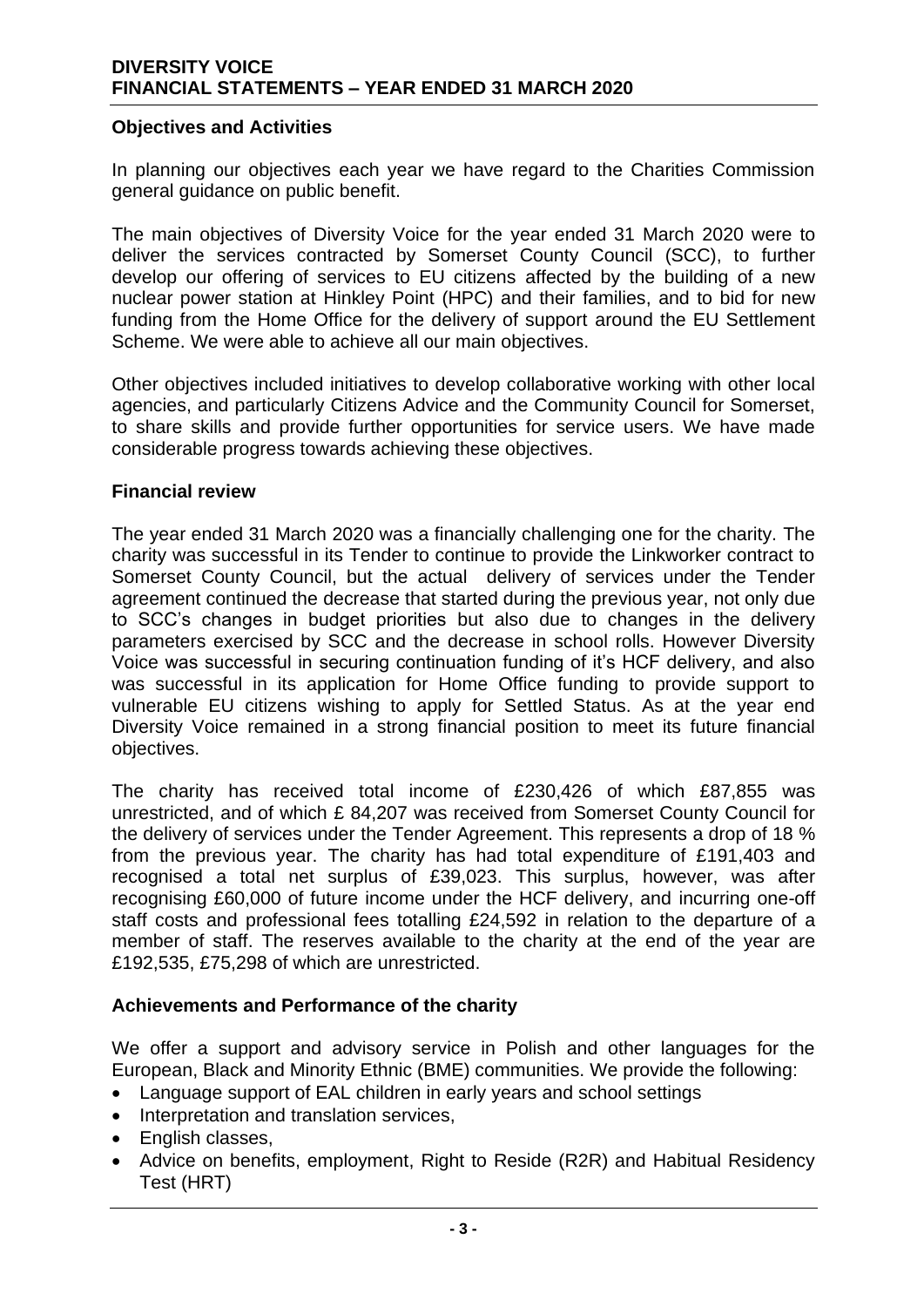#### **Objectives and Activities**

In planning our objectives each year we have regard to the Charities Commission general guidance on public benefit.

The main objectives of Diversity Voice for the year ended 31 March 2020 were to deliver the services contracted by Somerset County Council (SCC), to further develop our offering of services to EU citizens affected by the building of a new nuclear power station at Hinkley Point (HPC) and their families, and to bid for new funding from the Home Office for the delivery of support around the EU Settlement Scheme. We were able to achieve all our main objectives.

Other objectives included initiatives to develop collaborative working with other local agencies, and particularly Citizens Advice and the Community Council for Somerset, to share skills and provide further opportunities for service users. We have made considerable progress towards achieving these objectives.

#### **Financial review**

The year ended 31 March 2020 was a financially challenging one for the charity. The charity was successful in its Tender to continue to provide the Linkworker contract to Somerset County Council, but the actual delivery of services under the Tender agreement continued the decrease that started during the previous year, not only due to SCC's changes in budget priorities but also due to changes in the delivery parameters exercised by SCC and the decrease in school rolls. However Diversity Voice was successful in securing continuation funding of it's HCF delivery, and also was successful in its application for Home Office funding to provide support to vulnerable EU citizens wishing to apply for Settled Status. As at the year end Diversity Voice remained in a strong financial position to meet its future financial objectives.

The charity has received total income of £230,426 of which £87,855 was unrestricted, and of which £ 84,207 was received from Somerset County Council for the delivery of services under the Tender Agreement. This represents a drop of 18 % from the previous year. The charity has had total expenditure of £191,403 and recognised a total net surplus of £39,023. This surplus, however, was after recognising £60,000 of future income under the HCF delivery, and incurring one-off staff costs and professional fees totalling £24,592 in relation to the departure of a member of staff. The reserves available to the charity at the end of the year are £192,535, £75,298 of which are unrestricted.

# **Achievements and Performance of the charity**

We offer a support and advisory service in Polish and other languages for the European, Black and Minority Ethnic (BME) communities. We provide the following:

- Language support of EAL children in early years and school settings
- Interpretation and translation services.
- English classes,
- Advice on benefits, employment, Right to Reside (R2R) and Habitual Residency Test (HRT)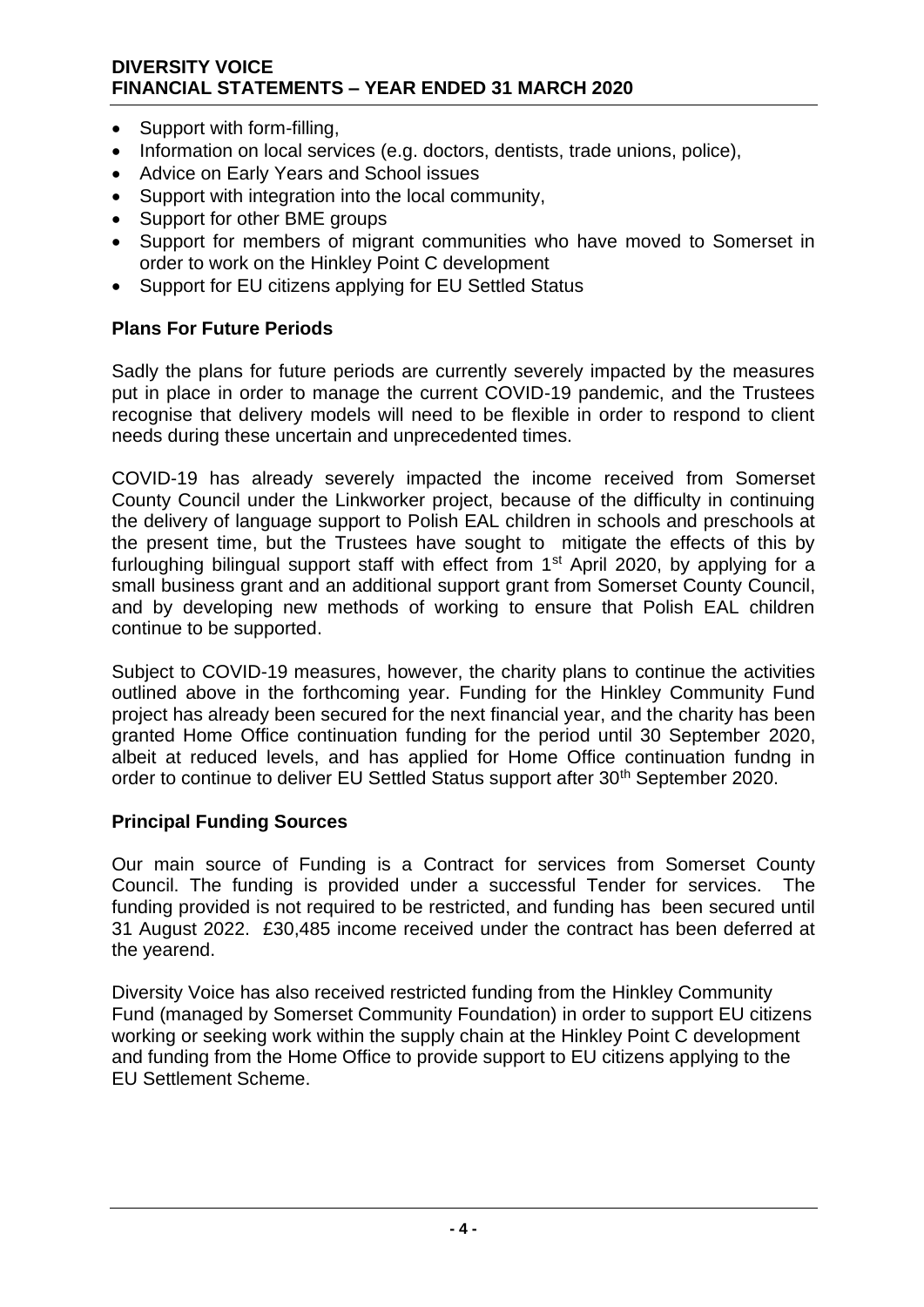- Support with form-filling,
- Information on local services (e.g. doctors, dentists, trade unions, police),
- Advice on Early Years and School issues
- Support with integration into the local community,
- Support for other BME groups
- Support for members of migrant communities who have moved to Somerset in order to work on the Hinkley Point C development
- Support for EU citizens applying for EU Settled Status

# **Plans For Future Periods**

Sadly the plans for future periods are currently severely impacted by the measures put in place in order to manage the current COVID-19 pandemic, and the Trustees recognise that delivery models will need to be flexible in order to respond to client needs during these uncertain and unprecedented times.

COVID-19 has already severely impacted the income received from Somerset County Council under the Linkworker project, because of the difficulty in continuing the delivery of language support to Polish EAL children in schools and preschools at the present time, but the Trustees have sought to mitigate the effects of this by furloughing bilingual support staff with effect from 1<sup>st</sup> April 2020, by applying for a small business grant and an additional support grant from Somerset County Council, and by developing new methods of working to ensure that Polish EAL children continue to be supported.

Subject to COVID-19 measures, however, the charity plans to continue the activities outlined above in the forthcoming year. Funding for the Hinkley Community Fund project has already been secured for the next financial year, and the charity has been granted Home Office continuation funding for the period until 30 September 2020, albeit at reduced levels, and has applied for Home Office continuation fundng in order to continue to deliver EU Settled Status support after 30<sup>th</sup> September 2020.

# **Principal Funding Sources**

Our main source of Funding is a Contract for services from Somerset County Council. The funding is provided under a successful Tender for services. The funding provided is not required to be restricted, and funding has been secured until 31 August 2022. £30,485 income received under the contract has been deferred at the yearend.

Diversity Voice has also received restricted funding from the Hinkley Community Fund (managed by Somerset Community Foundation) in order to support EU citizens working or seeking work within the supply chain at the Hinkley Point C development and funding from the Home Office to provide support to EU citizens applying to the EU Settlement Scheme.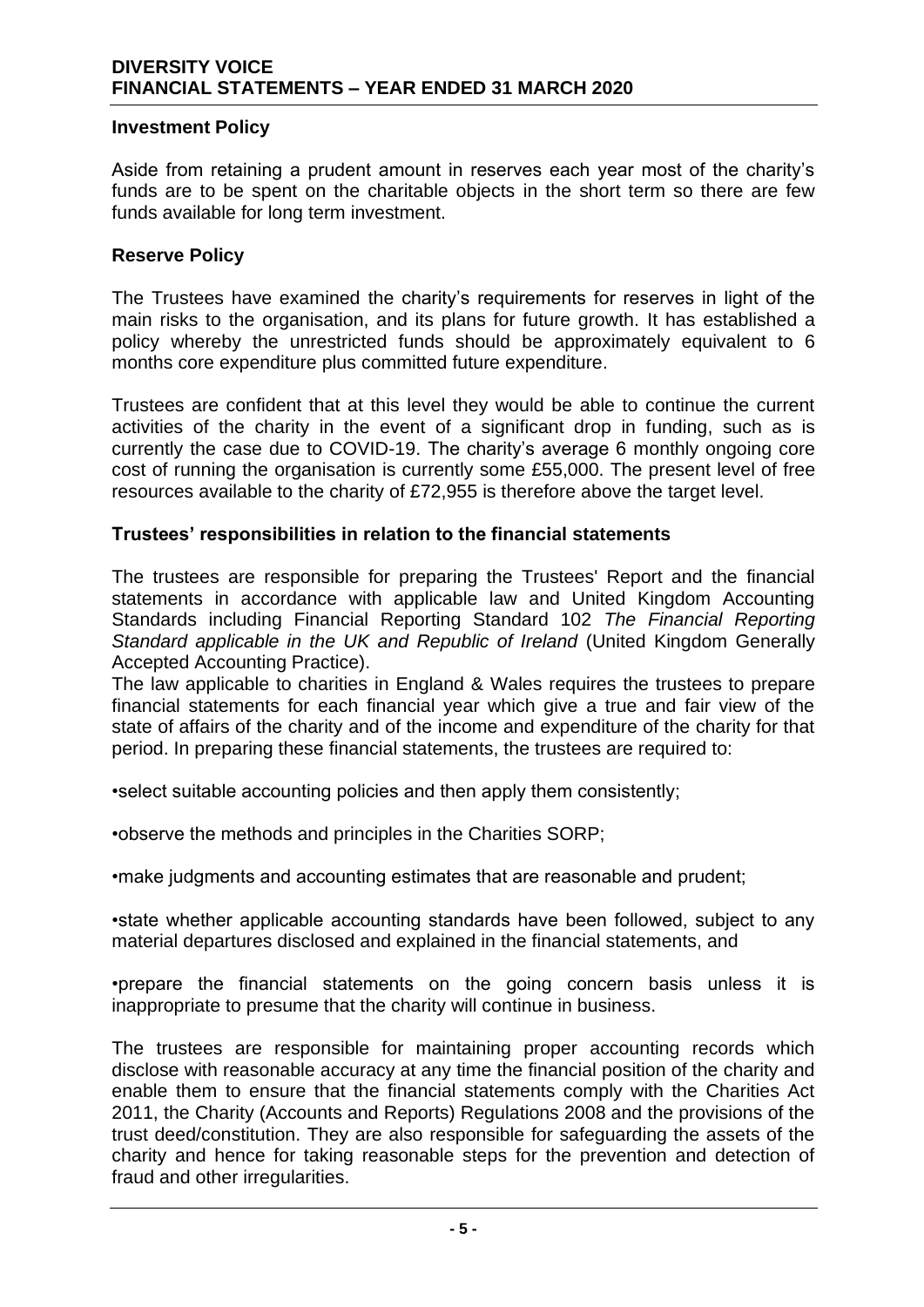#### **Investment Policy**

Aside from retaining a prudent amount in reserves each year most of the charity's funds are to be spent on the charitable objects in the short term so there are few funds available for long term investment.

# **Reserve Policy**

The Trustees have examined the charity's requirements for reserves in light of the main risks to the organisation, and its plans for future growth. It has established a policy whereby the unrestricted funds should be approximately equivalent to 6 months core expenditure plus committed future expenditure.

Trustees are confident that at this level they would be able to continue the current activities of the charity in the event of a significant drop in funding, such as is currently the case due to COVID-19. The charity's average 6 monthly ongoing core cost of running the organisation is currently some £55,000. The present level of free resources available to the charity of £72,955 is therefore above the target level.

#### **Trustees' responsibilities in relation to the financial statements**

The trustees are responsible for preparing the Trustees' Report and the financial statements in accordance with applicable law and United Kingdom Accounting Standards including Financial Reporting Standard 102 *The Financial Reporting Standard applicable in the UK and Republic of Ireland* (United Kingdom Generally Accepted Accounting Practice).

The law applicable to charities in England & Wales requires the trustees to prepare financial statements for each financial year which give a true and fair view of the state of affairs of the charity and of the income and expenditure of the charity for that period. In preparing these financial statements, the trustees are required to:

•select suitable accounting policies and then apply them consistently;

•observe the methods and principles in the Charities SORP;

•make judgments and accounting estimates that are reasonable and prudent;

•state whether applicable accounting standards have been followed, subject to any material departures disclosed and explained in the financial statements, and

•prepare the financial statements on the going concern basis unless it is inappropriate to presume that the charity will continue in business.

The trustees are responsible for maintaining proper accounting records which disclose with reasonable accuracy at any time the financial position of the charity and enable them to ensure that the financial statements comply with the Charities Act 2011, the Charity (Accounts and Reports) Regulations 2008 and the provisions of the trust deed/constitution. They are also responsible for safeguarding the assets of the charity and hence for taking reasonable steps for the prevention and detection of fraud and other irregularities.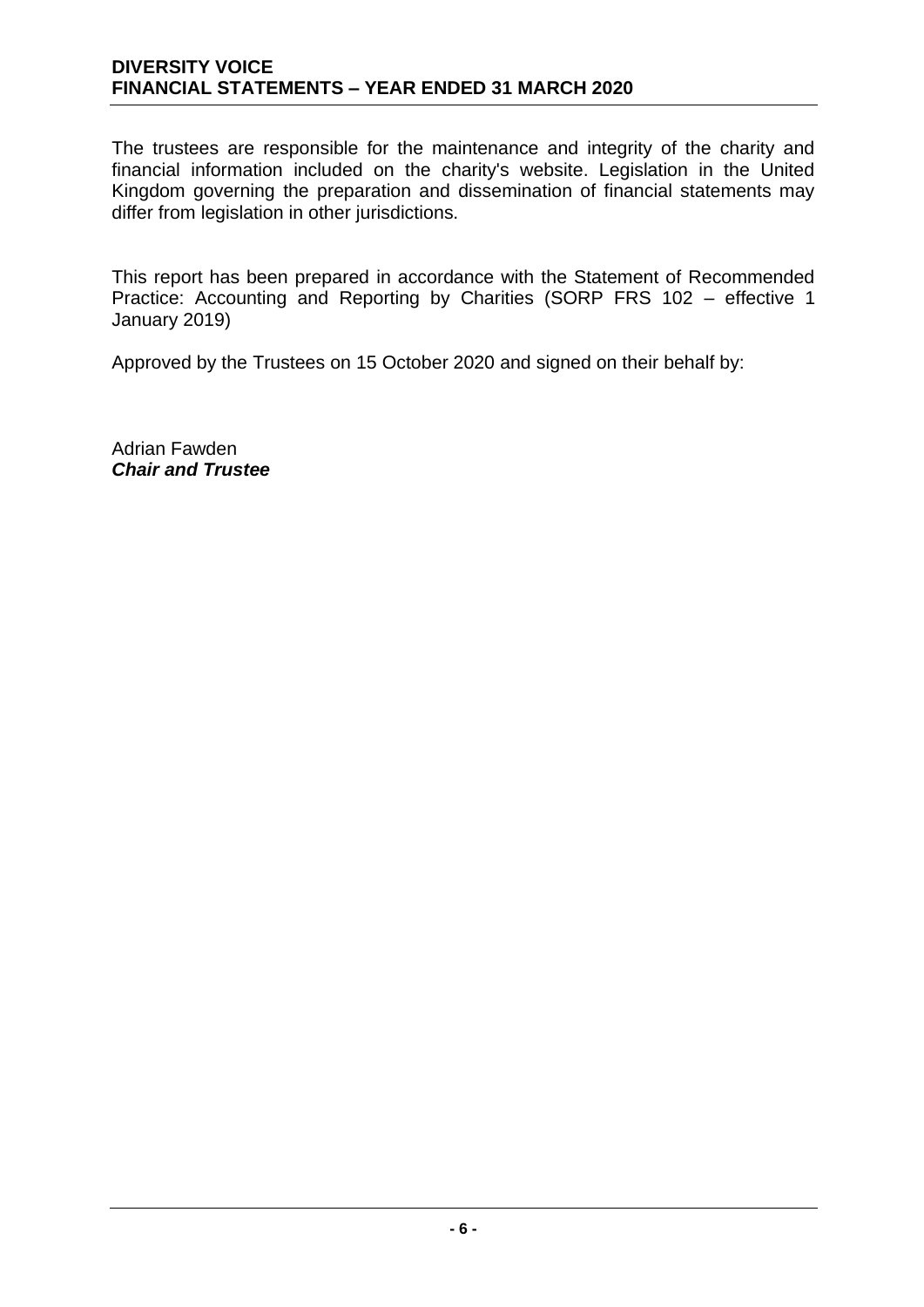The trustees are responsible for the maintenance and integrity of the charity and financial information included on the charity's website. Legislation in the United Kingdom governing the preparation and dissemination of financial statements may differ from legislation in other jurisdictions.

This report has been prepared in accordance with the Statement of Recommended Practice: Accounting and Reporting by Charities (SORP FRS 102 – effective 1 January 2019)

Approved by the Trustees on 15 October 2020 and signed on their behalf by:

Adrian Fawden *Chair and Trustee*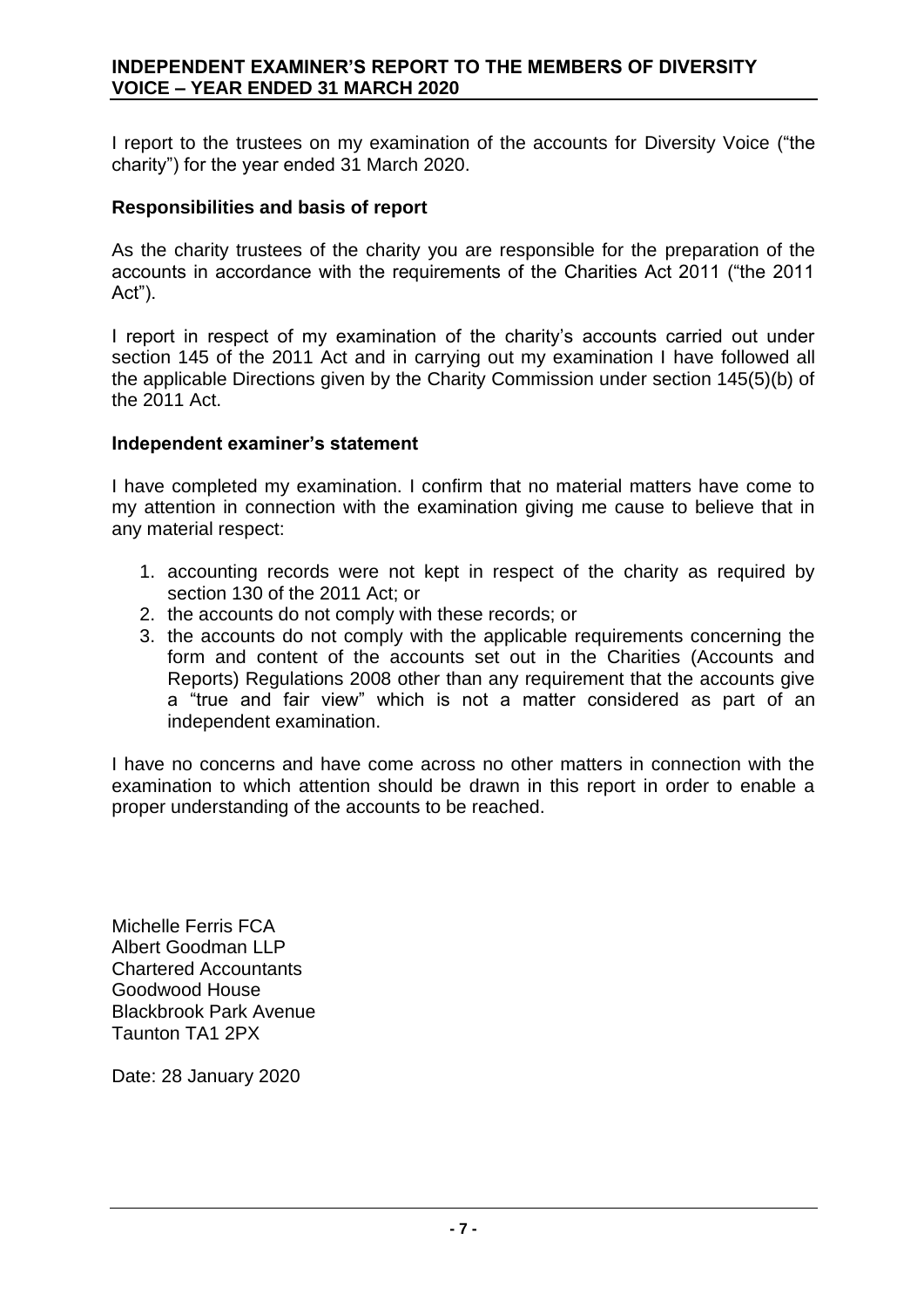#### **INDEPENDENT EXAMINER'S REPORT TO THE MEMBERS OF DIVERSITY VOICE – YEAR ENDED 31 MARCH 2020**

I report to the trustees on my examination of the accounts for Diversity Voice ("the charity") for the year ended 31 March 2020.

#### **Responsibilities and basis of report**

As the charity trustees of the charity you are responsible for the preparation of the accounts in accordance with the requirements of the Charities Act 2011 ("the 2011 Act").

I report in respect of my examination of the charity's accounts carried out under section 145 of the 2011 Act and in carrying out my examination I have followed all the applicable Directions given by the Charity Commission under section 145(5)(b) of the 2011 Act.

#### **Independent examiner's statement**

I have completed my examination. I confirm that no material matters have come to my attention in connection with the examination giving me cause to believe that in any material respect:

- 1. accounting records were not kept in respect of the charity as required by section 130 of the 2011 Act; or
- 2. the accounts do not comply with these records; or
- 3. the accounts do not comply with the applicable requirements concerning the form and content of the accounts set out in the Charities (Accounts and Reports) Regulations 2008 other than any requirement that the accounts give a "true and fair view" which is not a matter considered as part of an independent examination.

I have no concerns and have come across no other matters in connection with the examination to which attention should be drawn in this report in order to enable a proper understanding of the accounts to be reached.

Michelle Ferris FCA Albert Goodman LLP Chartered Accountants Goodwood House Blackbrook Park Avenue Taunton TA1 2PX

Date: 28 January 2020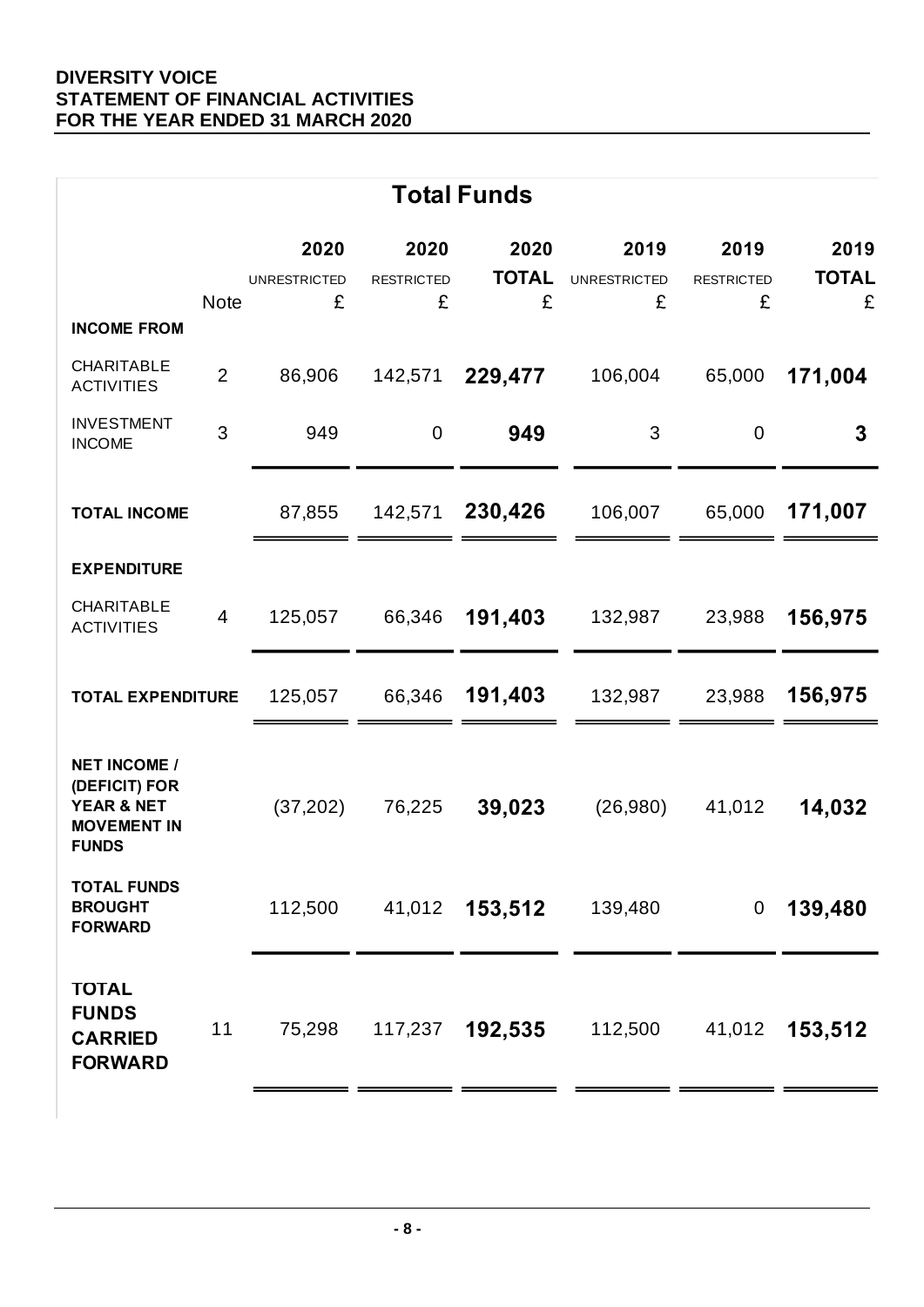#### **DIVERSITY VOICE STATEMENT OF FINANCIAL ACTIVITIES FOR THE YEAR ENDED 31 MARCH 2020**

|                                                                                                     |                |                                  |                                | <b>Total Funds</b>        |                                  |                                |                           |
|-----------------------------------------------------------------------------------------------------|----------------|----------------------------------|--------------------------------|---------------------------|----------------------------------|--------------------------------|---------------------------|
| <b>INCOME FROM</b>                                                                                  | <b>Note</b>    | 2020<br><b>UNRESTRICTED</b><br>£ | 2020<br><b>RESTRICTED</b><br>£ | 2020<br><b>TOTAL</b><br>£ | 2019<br><b>UNRESTRICTED</b><br>£ | 2019<br><b>RESTRICTED</b><br>£ | 2019<br><b>TOTAL</b><br>£ |
| <b>CHARITABLE</b><br><b>ACTIVITIES</b>                                                              | $\overline{2}$ | 86,906                           | 142,571                        | 229,477                   | 106,004                          | 65,000                         | 171,004                   |
| <b>INVESTMENT</b><br><b>INCOME</b>                                                                  | 3              | 949                              | $\mathbf 0$                    | 949                       | 3                                | $\mathbf 0$                    | 3                         |
| <b>TOTAL INCOME</b>                                                                                 |                | 87,855                           | 142,571                        | 230,426                   | 106,007                          | 65,000                         | 171,007                   |
| <b>EXPENDITURE</b>                                                                                  |                |                                  |                                |                           |                                  |                                |                           |
| <b>CHARITABLE</b><br><b>ACTIVITIES</b>                                                              | 4              | 125,057                          | 66,346                         | 191,403                   | 132,987                          | 23,988                         | 156,975                   |
| <b>TOTAL EXPENDITURE</b>                                                                            |                | 125,057                          | 66,346                         | 191,403                   | 132,987                          | 23,988                         | 156,975                   |
| <b>NET INCOME /</b><br>(DEFICIT) FOR<br><b>YEAR &amp; NET</b><br><b>MOVEMENT IN</b><br><b>FUNDS</b> |                | (37,202)                         | 76,225                         | 39,023                    | (26,980)                         | 41,012                         | 14,032                    |
| <b>TOTAL FUNDS</b><br><b>BROUGHT</b><br><b>FORWARD</b>                                              |                | 112,500                          | 41,012                         | 153,512                   | 139,480                          | $\mathbf 0$                    | 139,480                   |
| <b>TOTAL</b><br><b>FUNDS</b><br><b>CARRIED</b><br><b>FORWARD</b>                                    | 11             | 75,298                           | 117,237                        | 192,535                   | 112,500                          | 41,012                         | 153,512                   |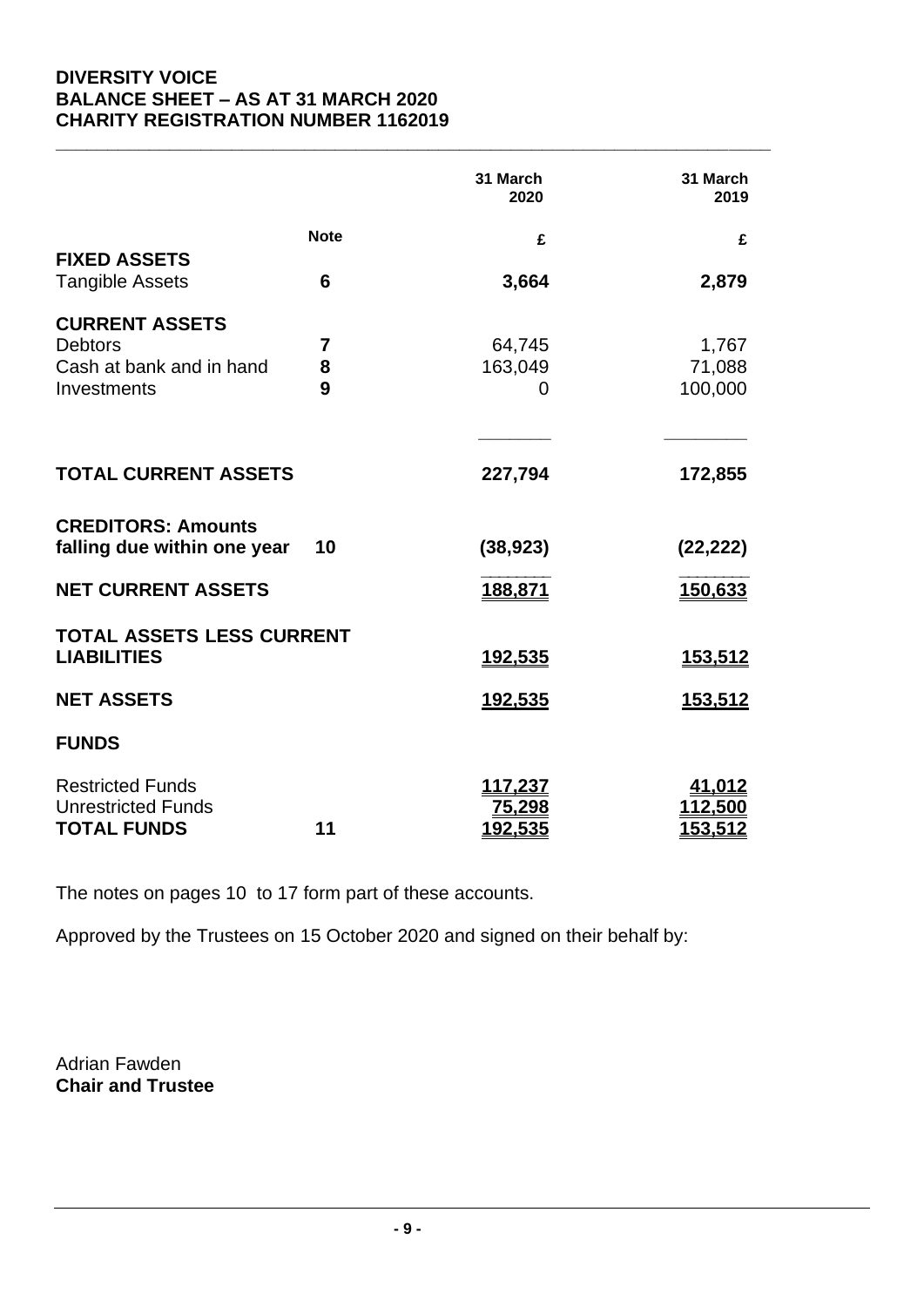#### **DIVERSITY VOICE BALANCE SHEET – AS AT 31 MARCH 2020 CHARITY REGISTRATION NUMBER 1162019**

|                                                                                    |             | 31 March<br>2020                                   | 31 March<br>2019                            |
|------------------------------------------------------------------------------------|-------------|----------------------------------------------------|---------------------------------------------|
|                                                                                    | <b>Note</b> | £                                                  | £                                           |
| <b>FIXED ASSETS</b><br><b>Tangible Assets</b>                                      | 6           | 3,664                                              | 2,879                                       |
| <b>CURRENT ASSETS</b><br><b>Debtors</b><br>Cash at bank and in hand<br>Investments | 7<br>8<br>9 | 64,745<br>163,049<br>0                             | 1,767<br>71,088<br>100,000                  |
| <b>TOTAL CURRENT ASSETS</b>                                                        |             | 227,794                                            | 172,855                                     |
| <b>CREDITORS: Amounts</b><br>falling due within one year                           | 10          | (38, 923)                                          | (22, 222)                                   |
| <b>NET CURRENT ASSETS</b>                                                          |             | 188,871                                            | 150,633                                     |
| <b>TOTAL ASSETS LESS CURRENT</b><br><b>LIABILITIES</b>                             |             | <u>192,535</u>                                     | <u>153,512</u>                              |
| <b>NET ASSETS</b>                                                                  |             | <u>192.535</u>                                     | <u>153,512</u>                              |
| <b>FUNDS</b>                                                                       |             |                                                    |                                             |
| <b>Restricted Funds</b><br><b>Unrestricted Funds</b><br><b>TOTAL FUNDS</b>         | 11          | <u>117,237</u><br><u>75,298</u><br><u> 192,535</u> | 41,012<br><u> 112,500</u><br><u>153,512</u> |

**\_\_\_\_\_\_\_\_\_\_\_\_\_\_\_\_\_\_\_\_\_\_\_\_\_\_\_\_\_\_\_\_\_\_\_\_\_\_\_\_\_\_\_\_\_\_\_\_\_\_\_\_\_\_\_\_\_\_\_\_\_\_\_\_\_\_\_\_\_**

The notes on pages 10 to 17 form part of these accounts.

Approved by the Trustees on 15 October 2020 and signed on their behalf by:

Adrian Fawden **Chair and Trustee**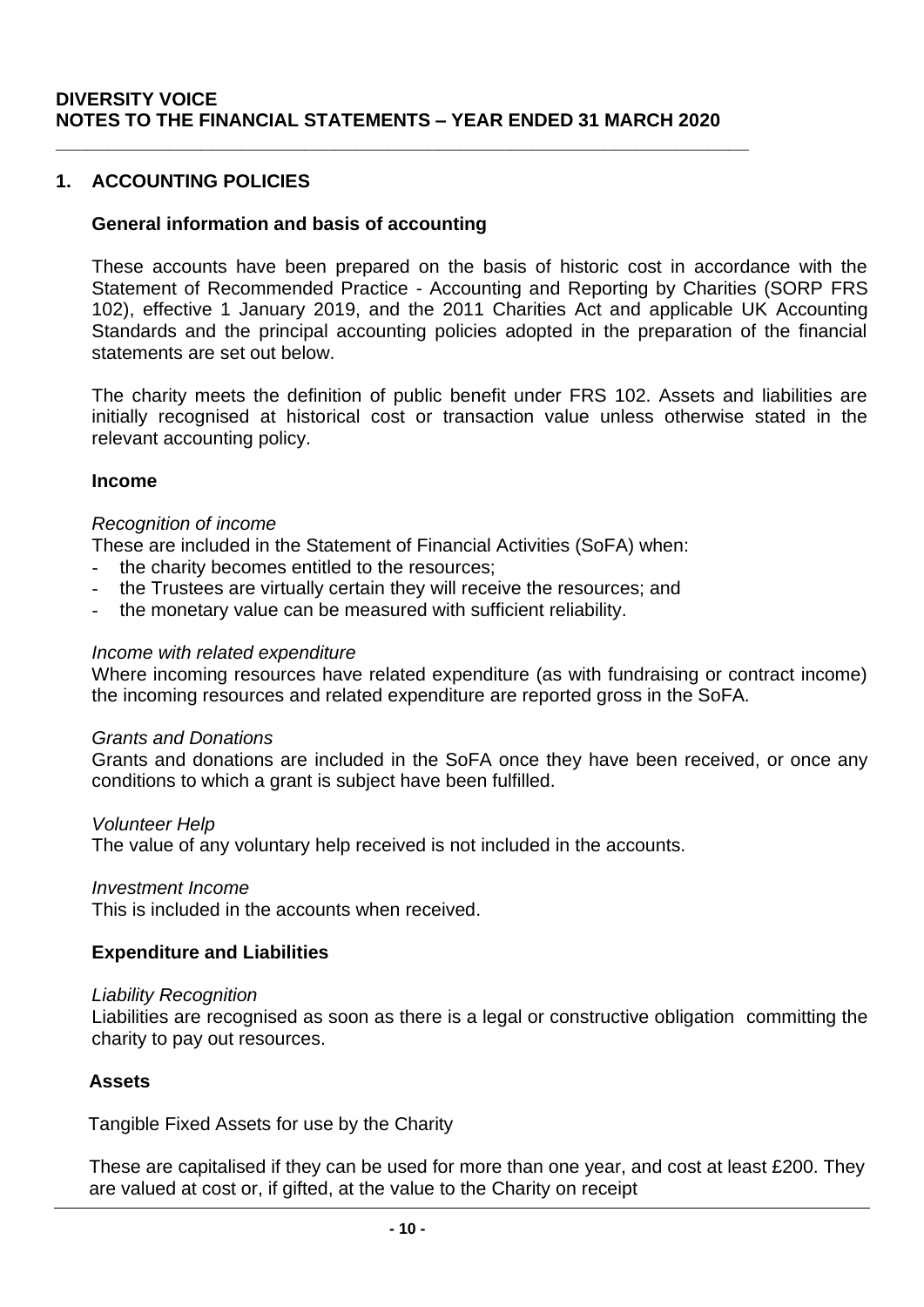**\_\_\_\_\_\_\_\_\_\_\_\_\_\_\_\_\_\_\_\_\_\_\_\_\_\_\_\_\_\_\_\_\_\_\_\_\_\_\_\_\_\_\_\_\_\_\_\_\_\_\_\_\_\_\_\_\_\_\_\_\_\_\_\_\_\_\_**

#### **1. ACCOUNTING POLICIES**

#### **General information and basis of accounting**

These accounts have been prepared on the basis of historic cost in accordance with the Statement of Recommended Practice - Accounting and Reporting by Charities (SORP FRS 102), effective 1 January 2019, and the 2011 Charities Act and applicable UK Accounting Standards and the principal accounting policies adopted in the preparation of the financial statements are set out below.

The charity meets the definition of public benefit under FRS 102. Assets and liabilities are initially recognised at historical cost or transaction value unless otherwise stated in the relevant accounting policy.

#### **Income**

#### *Recognition of income*

These are included in the Statement of Financial Activities (SoFA) when:

- the charity becomes entitled to the resources;
- the Trustees are virtually certain they will receive the resources; and
- the monetary value can be measured with sufficient reliability.

#### *Income with related expenditure*

Where incoming resources have related expenditure (as with fundraising or contract income) the incoming resources and related expenditure are reported gross in the SoFA.

#### *Grants and Donations*

Grants and donations are included in the SoFA once they have been received, or once any conditions to which a grant is subject have been fulfilled.

#### *Volunteer Help*

The value of any voluntary help received is not included in the accounts.

#### *Investment Income*

This is included in the accounts when received.

#### **Expenditure and Liabilities**

#### *Liability Recognition*

Liabilities are recognised as soon as there is a legal or constructive obligation committing the charity to pay out resources.

#### **Assets**

Tangible Fixed Assets for use by the Charity

These are capitalised if they can be used for more than one year, and cost at least £200. They are valued at cost or, if gifted, at the value to the Charity on receipt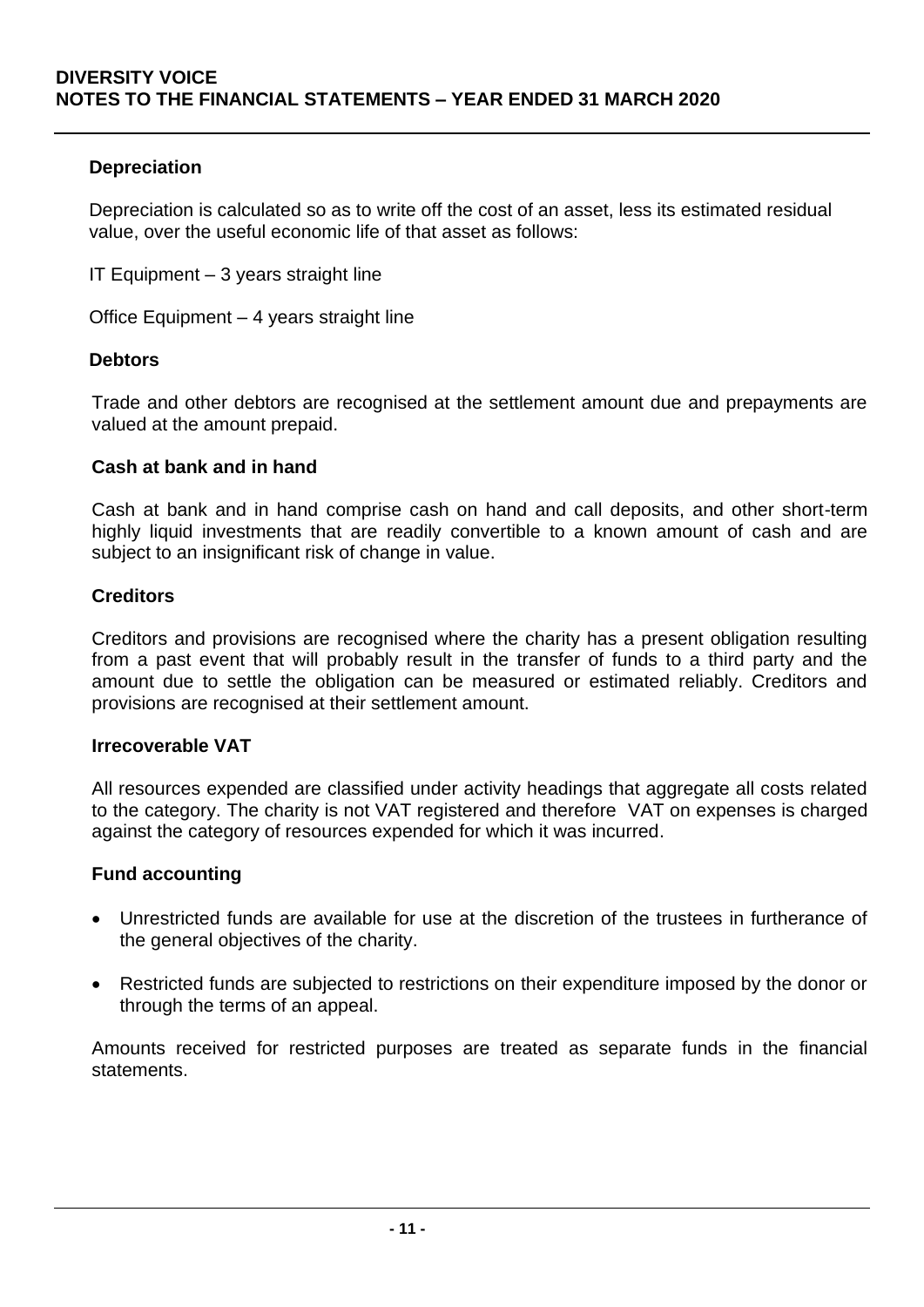#### **Depreciation**

Depreciation is calculated so as to write off the cost of an asset, less its estimated residual value, over the useful economic life of that asset as follows:

IT Equipment – 3 years straight line

Office Equipment – 4 years straight line

#### **Debtors**

Trade and other debtors are recognised at the settlement amount due and prepayments are valued at the amount prepaid.

#### **Cash at bank and in hand**

Cash at bank and in hand comprise cash on hand and call deposits, and other short-term highly liquid investments that are readily convertible to a known amount of cash and are subject to an insignificant risk of change in value.

#### **Creditors**

Creditors and provisions are recognised where the charity has a present obligation resulting from a past event that will probably result in the transfer of funds to a third party and the amount due to settle the obligation can be measured or estimated reliably. Creditors and provisions are recognised at their settlement amount.

#### **Irrecoverable VAT**

All resources expended are classified under activity headings that aggregate all costs related to the category. The charity is not VAT registered and therefore VAT on expenses is charged against the category of resources expended for which it was incurred.

#### **Fund accounting**

- Unrestricted funds are available for use at the discretion of the trustees in furtherance of the general objectives of the charity.
- Restricted funds are subjected to restrictions on their expenditure imposed by the donor or through the terms of an appeal.

Amounts received for restricted purposes are treated as separate funds in the financial statements.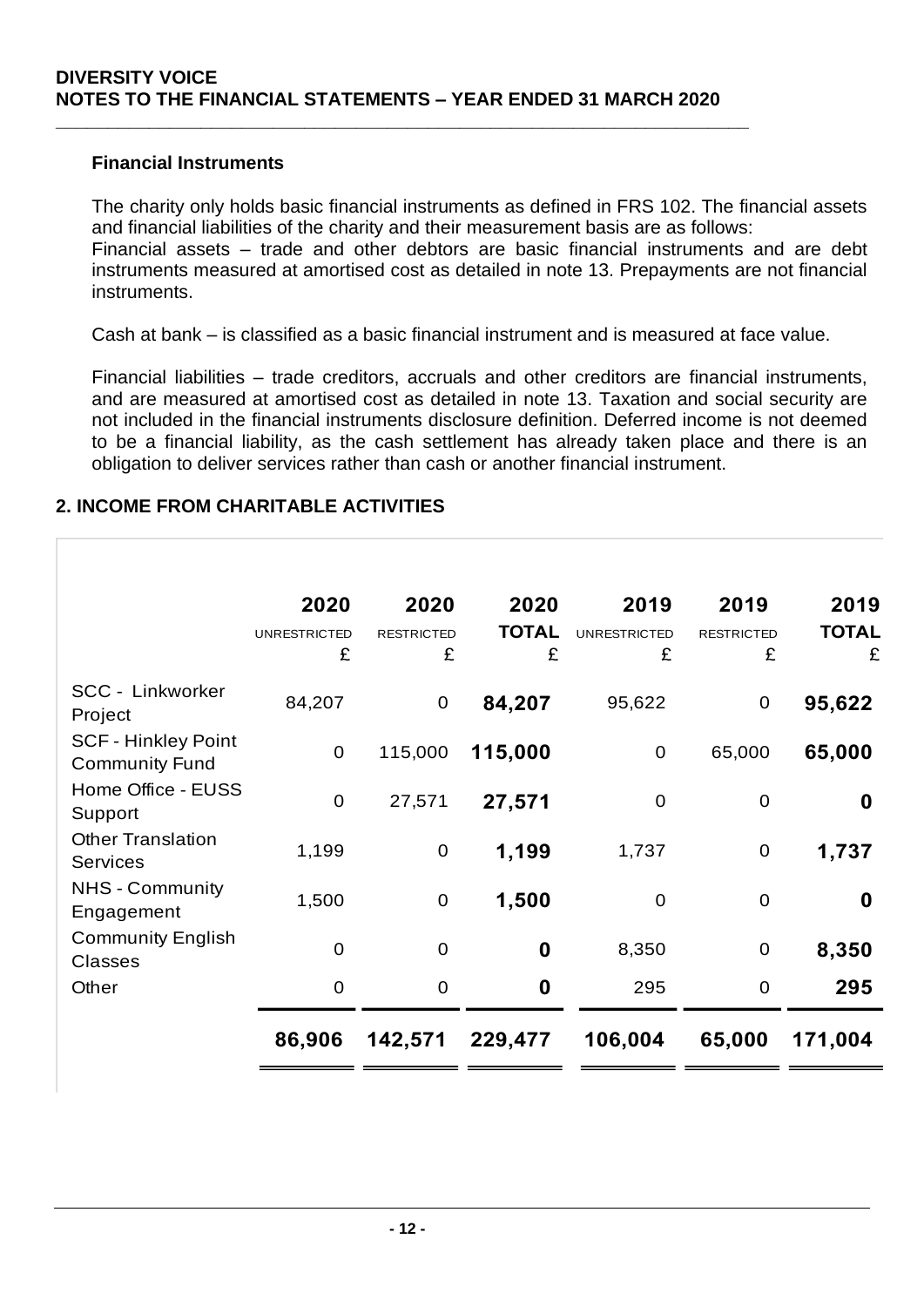**\_\_\_\_\_\_\_\_\_\_\_\_\_\_\_\_\_\_\_\_\_\_\_\_\_\_\_\_\_\_\_\_\_\_\_\_\_\_\_\_\_\_\_\_\_\_\_\_\_\_\_\_\_\_\_\_\_\_\_\_\_\_\_\_\_\_\_**

#### **Financial Instruments**

The charity only holds basic financial instruments as defined in FRS 102. The financial assets and financial liabilities of the charity and their measurement basis are as follows:

Financial assets – trade and other debtors are basic financial instruments and are debt instruments measured at amortised cost as detailed in note 13. Prepayments are not financial instruments.

Cash at bank – is classified as a basic financial instrument and is measured at face value.

Financial liabilities – trade creditors, accruals and other creditors are financial instruments, and are measured at amortised cost as detailed in note 13. Taxation and social security are not included in the financial instruments disclosure definition. Deferred income is not deemed to be a financial liability, as the cash settlement has already taken place and there is an obligation to deliver services rather than cash or another financial instrument.

# **2. INCOME FROM CHARITABLE ACTIVITIES**

|                                                     | 2020                     | 2020                   | 2020              | 2019                     | 2019                   | 2019              |
|-----------------------------------------------------|--------------------------|------------------------|-------------------|--------------------------|------------------------|-------------------|
|                                                     | <b>UNRESTRICTED</b><br>£ | <b>RESTRICTED</b><br>£ | <b>TOTAL</b><br>£ | <b>UNRESTRICTED</b><br>£ | <b>RESTRICTED</b><br>£ | <b>TOTAL</b><br>£ |
| <b>SCC - Linkworker</b><br>Project                  | 84,207                   | $\mathbf 0$            | 84,207            | 95,622                   | 0                      | 95,622            |
| <b>SCF - Hinkley Point</b><br><b>Community Fund</b> | $\overline{0}$           | 115,000                | 115,000           | $\boldsymbol{0}$         | 65,000                 | 65,000            |
| Home Office - EUSS<br>Support                       | $\mathbf 0$              | 27,571                 | 27,571            | $\mathbf 0$              | $\mathbf 0$            | $\bf{0}$          |
| <b>Other Translation</b><br><b>Services</b>         | 1,199                    | $\boldsymbol{0}$       | 1,199             | 1,737                    | $\mathbf 0$            | 1,737             |
| <b>NHS - Community</b><br>Engagement                | 1,500                    | $\mathbf 0$            | 1,500             | $\overline{0}$           | 0                      | $\bf{0}$          |
| <b>Community English</b><br><b>Classes</b>          | $\overline{0}$           | $\mathbf 0$            | $\mathbf 0$       | 8,350                    | 0                      | 8,350             |
| Other                                               | $\mathbf 0$              | $\overline{0}$         | 0                 | 295                      | 0                      | 295               |
|                                                     | 86,906                   | 142,571                | 229,477           | 106,004                  | 65,000                 | 171,004           |
|                                                     |                          |                        |                   |                          |                        |                   |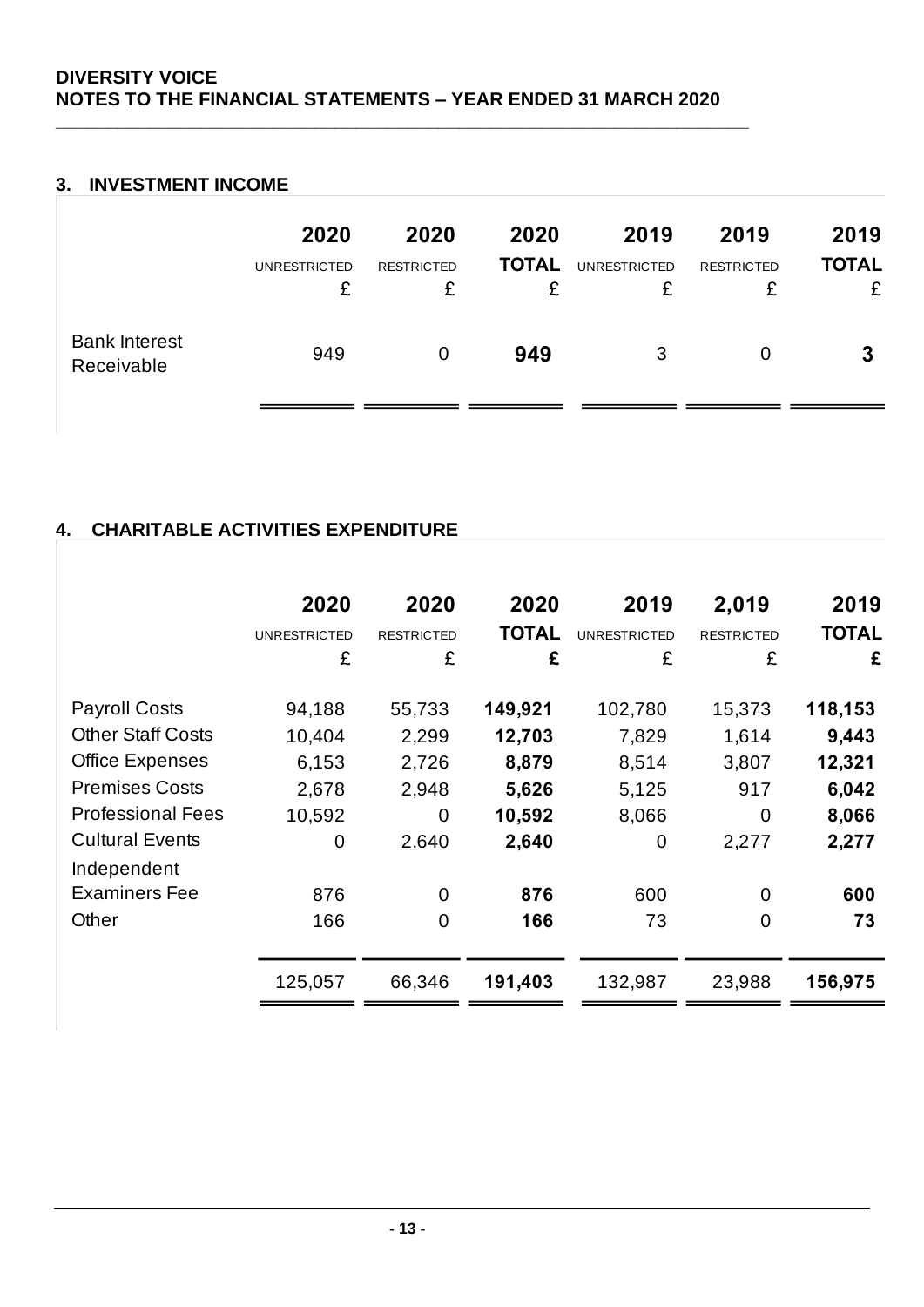**\_\_\_\_\_\_\_\_\_\_\_\_\_\_\_\_\_\_\_\_\_\_\_\_\_\_\_\_\_\_\_\_\_\_\_\_\_\_\_\_\_\_\_\_\_\_\_\_\_\_\_\_\_\_\_\_\_\_\_\_\_\_\_\_\_\_\_**

# **3. INVESTMENT INCOME**

|                                    | 2020                | 2020              | 2020         | 2019                | 2019              | 2019         |
|------------------------------------|---------------------|-------------------|--------------|---------------------|-------------------|--------------|
|                                    | <b>UNRESTRICTED</b> | <b>RESTRICTED</b> | <b>TOTAL</b> | <b>UNRESTRICTED</b> | <b>RESTRICTED</b> | <b>TOTAL</b> |
|                                    | £                   | £                 | £            | £                   | £                 | £            |
| <b>Bank Interest</b><br>Receivable | 949                 | $\overline{0}$    | 949          | 3                   | 0                 | 3            |
|                                    |                     |                   |              |                     |                   |              |

# **4. CHARITABLE ACTIVITIES EXPENDITURE**

|                          | 2020                | 2020              | 2020         | 2019                | 2,019             | 2019         |
|--------------------------|---------------------|-------------------|--------------|---------------------|-------------------|--------------|
|                          | <b>UNRESTRICTED</b> | <b>RESTRICTED</b> | <b>TOTAL</b> | <b>UNRESTRICTED</b> | <b>RESTRICTED</b> | <b>TOTAL</b> |
|                          | £                   | £                 | £            | £                   | £                 | £            |
| <b>Payroll Costs</b>     | 94,188              | 55,733            | 149,921      | 102,780             | 15,373            | 118,153      |
| <b>Other Staff Costs</b> | 10,404              | 2,299             | 12,703       | 7,829               | 1,614             | 9,443        |
| <b>Office Expenses</b>   | 6,153               | 2,726             | 8,879        | 8,514               | 3,807             | 12,321       |
| <b>Premises Costs</b>    | 2,678               | 2,948             | 5,626        | 5,125               | 917               | 6,042        |
| <b>Professional Fees</b> | 10,592              | $\overline{0}$    | 10,592       | 8,066               | $\mathbf 0$       | 8,066        |
| <b>Cultural Events</b>   | 0                   | 2,640             | 2,640        | $\mathbf 0$         | 2,277             | 2,277        |
| Independent              |                     |                   |              |                     |                   |              |
| <b>Examiners Fee</b>     | 876                 | 0                 | 876          | 600                 | $\mathbf 0$       | 600          |
| Other                    | 166                 | $\overline{0}$    | 166          | 73                  | $\mathbf 0$       | 73           |
|                          | 125,057             | 66,346            | 191,403      | 132,987             | 23,988            | 156,975      |
|                          |                     |                   |              |                     |                   |              |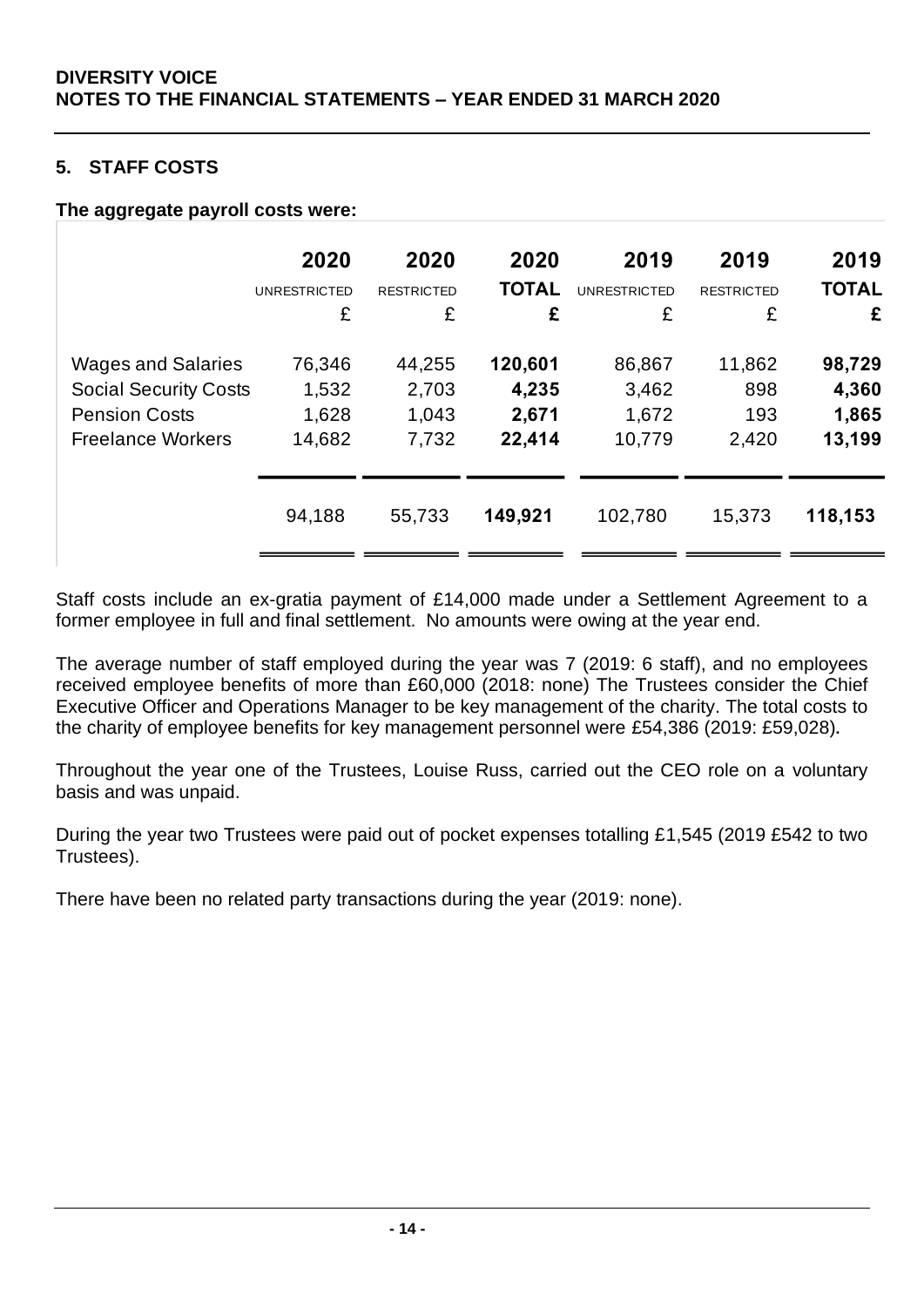# **5. STAFF COSTS**

#### **The aggregate payroll costs were:**

|                              | 2020                | 2020              | 2020         | 2019                | 2019              | 2019         |
|------------------------------|---------------------|-------------------|--------------|---------------------|-------------------|--------------|
|                              | <b>UNRESTRICTED</b> | <b>RESTRICTED</b> | <b>TOTAL</b> | <b>UNRESTRICTED</b> | <b>RESTRICTED</b> | <b>TOTAL</b> |
|                              | £                   | £                 | £            | £                   | £                 | £            |
| <b>Wages and Salaries</b>    | 76,346              | 44,255            | 120,601      | 86,867              | 11,862            | 98,729       |
| <b>Social Security Costs</b> | 1,532               | 2,703             | 4,235        | 3,462               | 898               | 4,360        |
| <b>Pension Costs</b>         | 1,628               | 1,043             | 2,671        | 1,672               | 193               | 1,865        |
| <b>Freelance Workers</b>     | 14,682              | 7,732             | 22,414       | 10,779              | 2,420             | 13,199       |
|                              | 94,188              | 55,733            | 149,921      | 102,780             | 15,373            | 118,153      |

Staff costs include an ex-gratia payment of £14,000 made under a Settlement Agreement to a former employee in full and final settlement. No amounts were owing at the year end.

The average number of staff employed during the year was 7 (2019: 6 staff), and no employees received employee benefits of more than £60,000 (2018: none) The Trustees consider the Chief Executive Officer and Operations Manager to be key management of the charity. The total costs to the charity of employee benefits for key management personnel were £54,386 (2019: £59,028)**.** 

Throughout the year one of the Trustees, Louise Russ, carried out the CEO role on a voluntary basis and was unpaid.

During the year two Trustees were paid out of pocket expenses totalling £1,545 (2019 £542 to two Trustees).

There have been no related party transactions during the year (2019: none).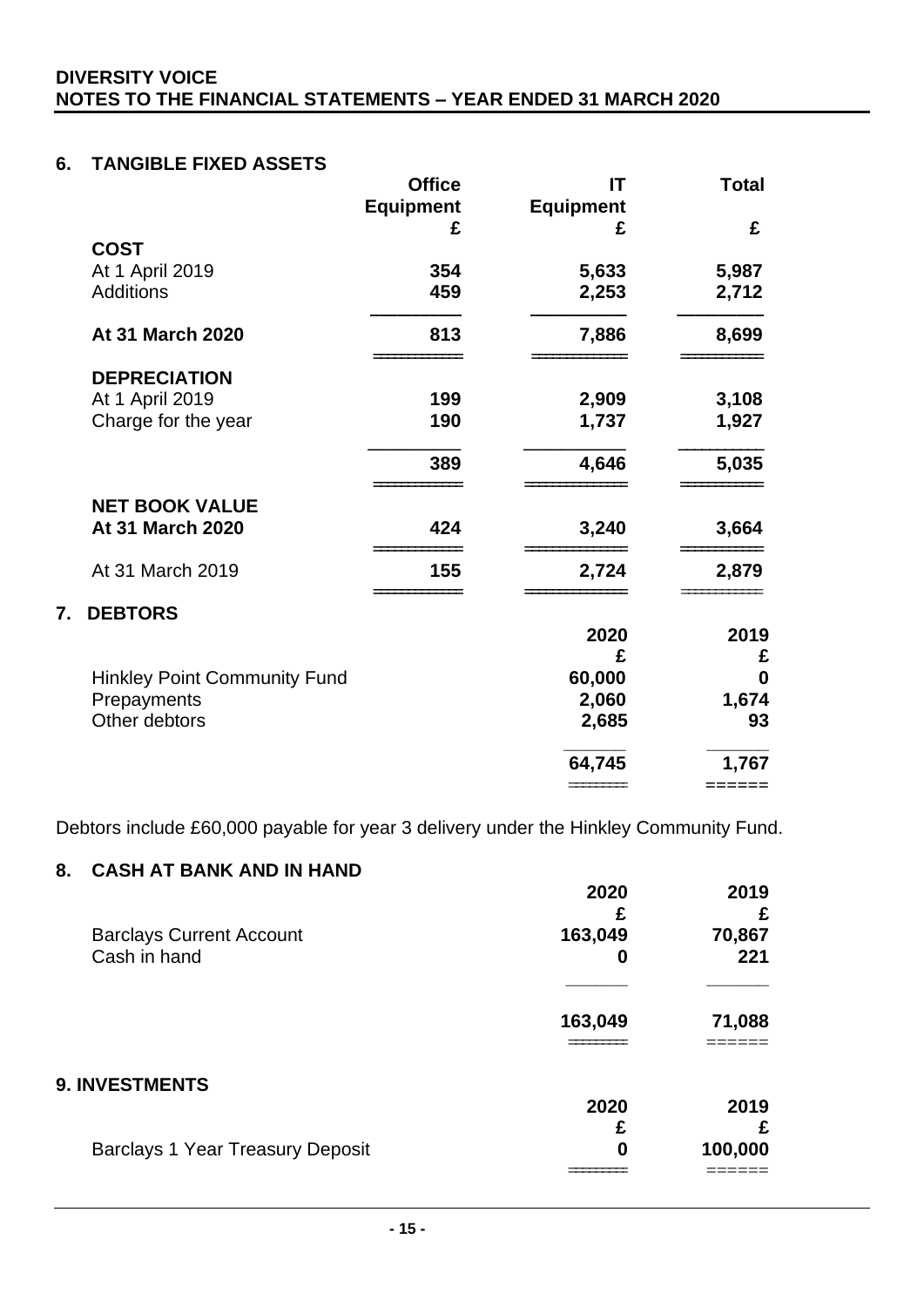#### **6. TANGIBLE FIXED ASSETS**

|                                     | <b>Office</b>    | ΙT               | <b>Total</b> |
|-------------------------------------|------------------|------------------|--------------|
|                                     | <b>Equipment</b> | <b>Equipment</b> |              |
|                                     | £                | £                | £            |
| <b>COST</b>                         |                  |                  |              |
| At 1 April 2019                     | 354              | 5,633            | 5,987        |
| <b>Additions</b>                    | 459              | 2,253            | 2,712        |
| At 31 March 2020                    | 813              | 7,886            | 8,699        |
| <b>DEPRECIATION</b>                 |                  |                  |              |
| At 1 April 2019                     | 199              | 2,909            | 3,108        |
| Charge for the year                 | 190              | 1,737            | 1,927        |
|                                     | 389              | 4,646            | 5,035        |
| <b>NET BOOK VALUE</b>               |                  |                  |              |
| At 31 March 2020                    | 424              | 3,240            | 3,664        |
| At 31 March 2019                    | 155              | 2,724            | 2,879        |
| <b>DEBTORS</b>                      |                  |                  |              |
|                                     |                  | 2020             | 2019         |
|                                     |                  | £                | £            |
| <b>Hinkley Point Community Fund</b> |                  | 60,000           | 0            |
| Prepayments                         |                  | 2,060            | 1,674        |
| Other debtors                       |                  | 2,685            | 93           |
|                                     |                  | 64,745           | 1,767        |
|                                     |                  |                  | ======       |

Debtors include £60,000 payable for year 3 delivery under the Hinkley Community Fund.

# **8. CASH AT BANK AND IN HAND**

**7. DEBTORS**

**9.** 

|                                                 | 2020    | 2019          |
|-------------------------------------------------|---------|---------------|
|                                                 | 163,049 | £             |
| <b>Barclays Current Account</b><br>Cash in hand | O       | 70,867<br>221 |
|                                                 |         |               |
|                                                 | 163,049 | 71,088        |
|                                                 |         |               |
| <b>INVESTMENTS</b>                              |         |               |
|                                                 | 2020    | 2019          |
|                                                 | £       | £             |
| <b>Barclays 1 Year Treasury Deposit</b>         | 0       | 100,000       |
|                                                 |         |               |
|                                                 |         |               |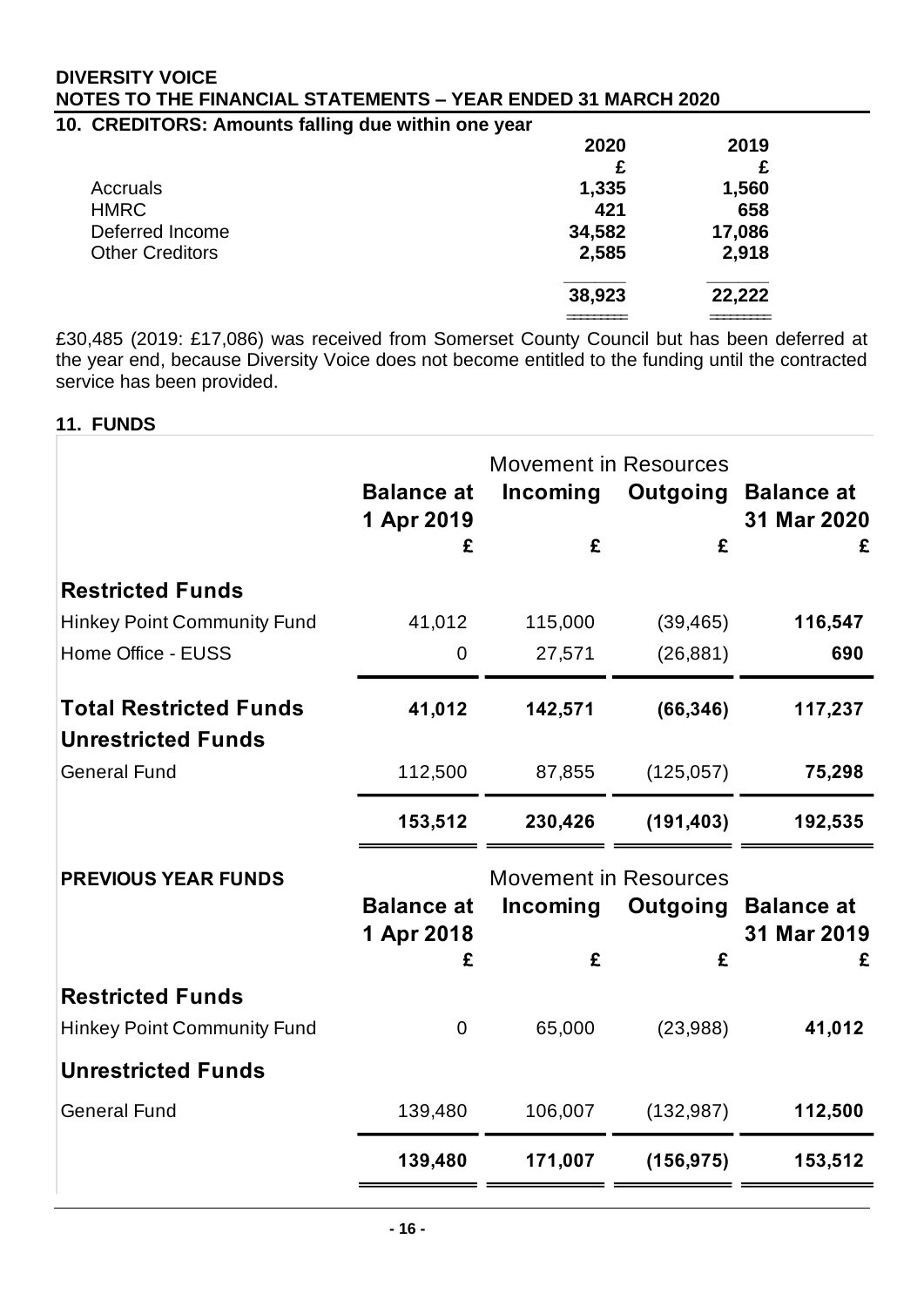#### **DIVERSITY VOICE NOTES TO THE FINANCIAL STATEMENTS – YEAR ENDED 31 MARCH 2020 10. CREDITORS: Amounts falling due within one year**

| ). $\,$ CREDHORS: Amounts failing due within one year |        |        |
|-------------------------------------------------------|--------|--------|
|                                                       | 2020   | 2019   |
|                                                       | £      |        |
| Accruals                                              | 1,335  | 1,560  |
| <b>HMRC</b>                                           | 421    | 658    |
| Deferred Income                                       | 34,582 | 17,086 |
| <b>Other Creditors</b>                                | 2,585  | 2,918  |
|                                                       | 38,923 | 22,222 |
|                                                       |        |        |
|                                                       |        |        |

£30,485 (2019: £17,086) was received from Somerset County Council but has been deferred at the year end, because Diversity Voice does not become entitled to the funding until the contracted service has been provided.

#### **11. FUNDS**

|                                                            | <b>Balance at</b><br>1 Apr 2019<br>£ | Incoming<br>£                                        | <b>Movement in Resources</b><br>Outgoing<br>£ |                                       |
|------------------------------------------------------------|--------------------------------------|------------------------------------------------------|-----------------------------------------------|---------------------------------------|
|                                                            |                                      |                                                      |                                               | £                                     |
| <b>Restricted Funds</b>                                    |                                      |                                                      |                                               |                                       |
| <b>Hinkey Point Community Fund</b>                         | 41,012                               | 115,000                                              | (39, 465)                                     | 116,547                               |
| Home Office - EUSS                                         | 0                                    | 27,571                                               | (26, 881)                                     | 690                                   |
| <b>Total Restricted Funds</b><br><b>Unrestricted Funds</b> | 41,012                               | 142,571                                              | (66, 346)                                     | 117,237                               |
| <b>General Fund</b>                                        | 112,500                              | 87,855                                               | (125, 057)                                    | 75,298                                |
|                                                            | 153,512                              | 230,426                                              | (191, 403)                                    | 192,535                               |
| <b>PREVIOUS YEAR FUNDS</b>                                 | <b>Balance at</b><br>1 Apr 2018<br>£ | <b>Movement in Resources</b><br><b>Incoming</b><br>£ | Outgoing<br>£                                 | <b>Balance at</b><br>31 Mar 2019<br>£ |
| <b>Restricted Funds</b>                                    |                                      |                                                      |                                               |                                       |
| <b>Hinkey Point Community Fund</b>                         | $\mathbf 0$                          | 65,000                                               | (23,988)                                      | 41,012                                |
| <b>Unrestricted Funds</b>                                  |                                      |                                                      |                                               |                                       |
| <b>General Fund</b>                                        | 139,480                              | 106,007                                              | (132, 987)                                    | 112,500                               |
|                                                            | 139,480                              | 171,007                                              | (156, 975)                                    | 153,512                               |
|                                                            |                                      |                                                      |                                               |                                       |